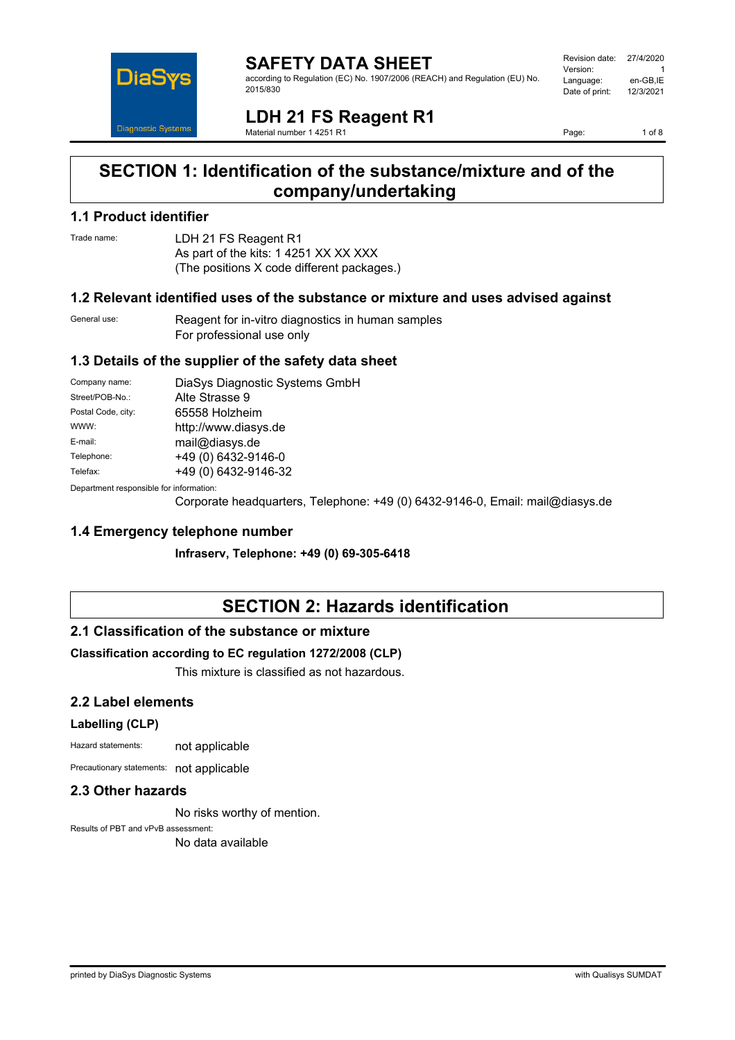

#### **SAFETY DATA SHEET** according to Regulation (EC) No. 1907/2006 (REACH) and Regulation (EU) No. 2015/830

| Revision date: | 27/4/2020 |
|----------------|-----------|
| Version:       |           |
| Language:      | en-GB,IE  |
| Date of print: | 12/3/2021 |
|                |           |

**LDH 21 FS Reagent R1** Material number 1 4251 R1

Page: 1 of 8

# **SECTION 1: Identification of the substance/mixture and of the company/undertaking**

## **1.1 Product identifier**

Trade name: LDH 21 FS Reagent R1 As part of the kits: 1 4251 XX XX XXX (The positions X code different packages.)

#### **1.2 Relevant identified uses of the substance or mixture and uses advised against**

General use: Reagent for in-vitro diagnostics in human samples For professional use only

### **1.3 Details of the supplier of the safety data sheet**

| Company name:                                             | DiaSys Diagnostic Systems GmbH |  |
|-----------------------------------------------------------|--------------------------------|--|
| Street/POB-No.:                                           | Alte Strasse 9                 |  |
| Postal Code, city:                                        | 65558 Holzheim                 |  |
| WWW:                                                      | http://www.diasys.de           |  |
| E-mail:                                                   | mail@diasys.de                 |  |
| Telephone:                                                | +49 (0) 6432-9146-0            |  |
| Telefax:                                                  | +49 (0) 6432-9146-32           |  |
| Description of the control of the first of control to the |                                |  |

Department responsible for information:

Corporate headquarters, Telephone: +49 (0) 6432-9146-0, Email: mail@diasys.de

### **1.4 Emergency telephone number**

**Infraserv, Telephone: +49 (0) 69-305-6418**

# **SECTION 2: Hazards identification**

### **2.1 Classification of the substance or mixture**

#### **Classification according to EC regulation 1272/2008 (CLP)**

This mixture is classified as not hazardous.

### **2.2 Label elements**

#### **Labelling (CLP)**

Hazard statements: not applicable

Precautionary statements: not applicable

#### **2.3 Other hazards**

No risks worthy of mention.

Results of PBT and vPvB assessment: No data available

printed by DiaSys Diagnostic Systems with Qualisys SUMDAT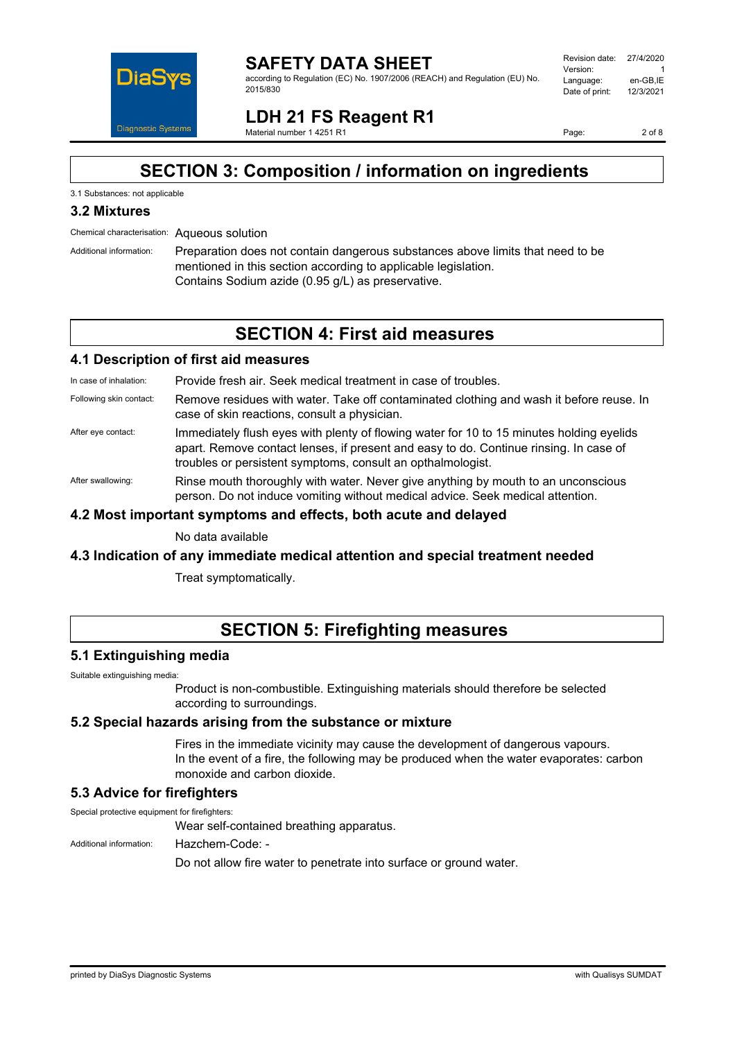

#### **SAFETY DATA SHEET** according to Regulation (EC) No. 1907/2006 (REACH) and Regulation (EU) No. 2015/830

Revision date: 27/4/2020 Version: 1<br>العربية العربية العربية العربية<br>Language: 1 en-GB IE Language: en-GB,IE<br>Date of print: 12/3/2021 Date of print:

# **LDH 21 FS Reagent R1**

Material number 1 4251 R1

Page: 2 of 8

# **SECTION 3: Composition / information on ingredients**

## 3.1 Substances: not applicable

## **3.2 Mixtures**

Chemical characterisation: Aqueous solution

Additional information: Preparation does not contain dangerous substances above limits that need to be mentioned in this section according to applicable legislation. Contains Sodium azide (0.95 g/L) as preservative.

# **SECTION 4: First aid measures**

#### **4.1 Description of first aid measures**

In case of inhalation: Provide fresh air. Seek medical treatment in case of troubles.

- Following skin contact: Remove residues with water. Take off contaminated clothing and wash it before reuse. In case of skin reactions, consult a physician.
- After eye contact: Immediately flush eyes with plenty of flowing water for 10 to 15 minutes holding eyelids apart. Remove contact lenses, if present and easy to do. Continue rinsing. In case of troubles or persistent symptoms, consult an opthalmologist.

After swallowing: Rinse mouth thoroughly with water. Never give anything by mouth to an unconscious person. Do not induce vomiting without medical advice. Seek medical attention.

#### **4.2 Most important symptoms and effects, both acute and delayed**

No data available

### **4.3 Indication of any immediate medical attention and special treatment needed**

Treat symptomatically.

# **SECTION 5: Firefighting measures**

### **5.1 Extinguishing media**

Suitable extinguishing media:

Product is non-combustible. Extinguishing materials should therefore be selected according to surroundings.

### **5.2 Special hazards arising from the substance or mixture**

Fires in the immediate vicinity may cause the development of dangerous vapours. In the event of a fire, the following may be produced when the water evaporates: carbon monoxide and carbon dioxide.

### **5.3 Advice for firefighters**

Special protective equipment for firefighters:

Wear self-contained breathing apparatus.

Additional information: Hazchem-Code: -

Do not allow fire water to penetrate into surface or ground water.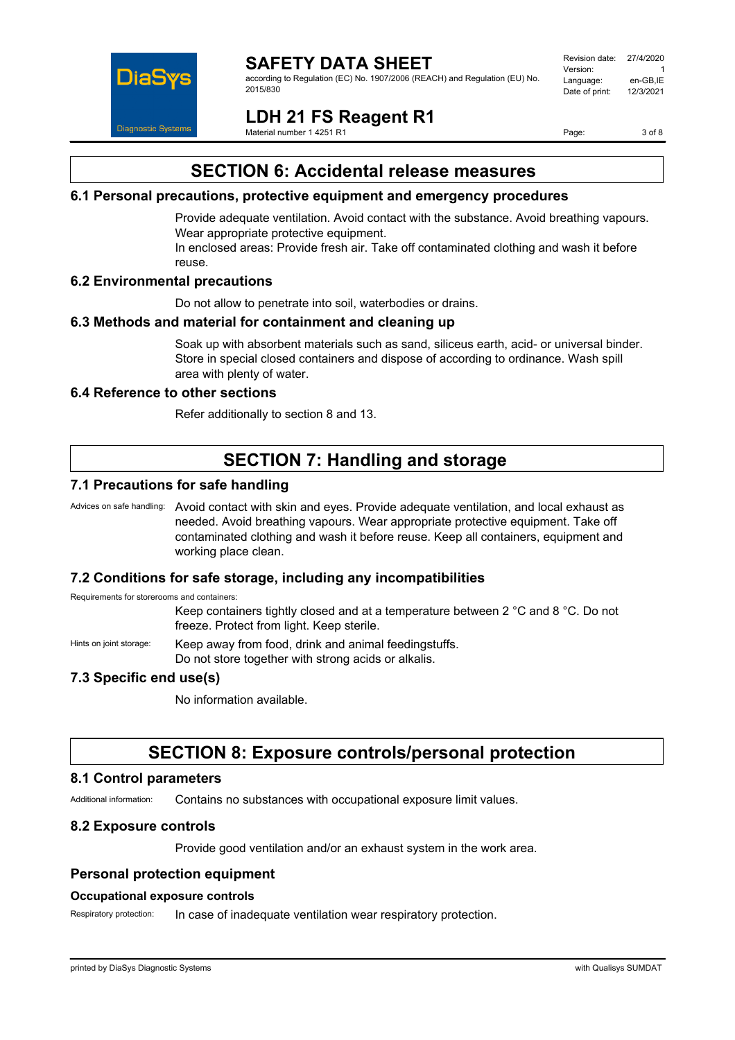

### **SAFETY DATA SHEET**

according to Regulation (EC) No. 1907/2006 (REACH) and Regulation (EU) No. 2015/830

Revision date: 27/4/2020 Version: 1<br>العربية العربية العربية العربية<br>Language: 1 en-GB IE Language: en-GB,IE<br>Date of print: 12/3/2021 Date of print:

**LDH 21 FS Reagent R1**

Material number 1 4251 R1

Page: 3 of 8

# **SECTION 6: Accidental release measures**

#### **6.1 Personal precautions, protective equipment and emergency procedures**

Provide adequate ventilation. Avoid contact with the substance. Avoid breathing vapours. Wear appropriate protective equipment.

In enclosed areas: Provide fresh air. Take off contaminated clothing and wash it before reuse.

#### **6.2 Environmental precautions**

Do not allow to penetrate into soil, waterbodies or drains.

#### **6.3 Methods and material for containment and cleaning up**

Soak up with absorbent materials such as sand, siliceus earth, acid- or universal binder. Store in special closed containers and dispose of according to ordinance. Wash spill area with plenty of water.

#### **6.4 Reference to other sections**

Refer additionally to section 8 and 13.

# **SECTION 7: Handling and storage**

### **7.1 Precautions for safe handling**

Advices on safe handling: Avoid contact with skin and eyes. Provide adequate ventilation, and local exhaust as needed. Avoid breathing vapours. Wear appropriate protective equipment. Take off contaminated clothing and wash it before reuse. Keep all containers, equipment and working place clean.

#### **7.2 Conditions for safe storage, including any incompatibilities**

Requirements for storerooms and containers:

Keep containers tightly closed and at a temperature between 2 °C and 8 °C. Do not freeze. Protect from light. Keep sterile.

Hints on joint storage: Keep away from food, drink and animal feedingstuffs.

Do not store together with strong acids or alkalis.

### **7.3 Specific end use(s)**

No information available.

## **SECTION 8: Exposure controls/personal protection**

#### **8.1 Control parameters**

Additional information: Contains no substances with occupational exposure limit values.

### **8.2 Exposure controls**

Provide good ventilation and/or an exhaust system in the work area.

### **Personal protection equipment**

#### **Occupational exposure controls**

Respiratory protection: In case of inadequate ventilation wear respiratory protection.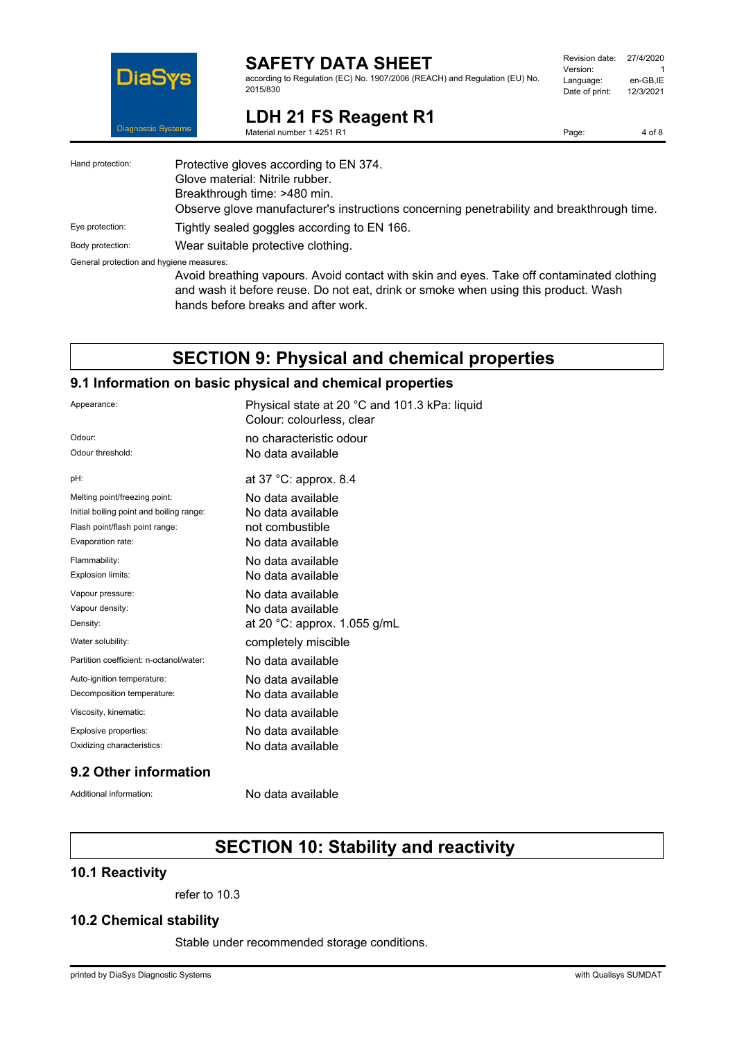

## **SAFETY DATA SHEET**

according to Regulation (EC) No. 1907/2006 (REACH) and Regulation (EU) No. 2015/830

| Revision date: | 27/4/2020 |
|----------------|-----------|
| Version:       |           |
| Language:      | en-GB,IE  |
| Date of print: | 12/3/2021 |
|                |           |

Page: 4 of 8

**LDH 21 FS Reagent R1** Material number 1 4251 R1

| Hand protection:                         | Protective gloves according to EN 374.<br>Glove material: Nitrile rubber.<br>Breakthrough time: >480 min.                                                                                                              |
|------------------------------------------|------------------------------------------------------------------------------------------------------------------------------------------------------------------------------------------------------------------------|
|                                          | Observe glove manufacturer's instructions concerning penetrability and breakthrough time.                                                                                                                              |
| Eye protection:                          | Tightly sealed goggles according to EN 166.                                                                                                                                                                            |
| Body protection:                         | Wear suitable protective clothing.                                                                                                                                                                                     |
| General protection and hygiene measures: |                                                                                                                                                                                                                        |
|                                          | Avoid breathing vapours. Avoid contact with skin and eyes. Take off contaminated clothing<br>and wash it before reuse. Do not eat, drink or smoke when using this product. Wash<br>hands before breaks and after work. |

# **SECTION 9: Physical and chemical properties**

#### **9.1 Information on basic physical and chemical properties**

| Appearance:                              | Physical state at 20 °C and 101.3 kPa: liquid<br>Colour: colourless, clear |
|------------------------------------------|----------------------------------------------------------------------------|
| Odour:                                   | no characteristic odour                                                    |
| Odour threshold:                         | No data available                                                          |
| pH:                                      | at 37 °C: approx. 8.4                                                      |
| Melting point/freezing point:            | No data available                                                          |
| Initial boiling point and boiling range: | No data available                                                          |
| Flash point/flash point range:           | not combustible                                                            |
| Evaporation rate:                        | No data available                                                          |
| Flammability:                            | No data available                                                          |
| Explosion limits:                        | No data available                                                          |
| Vapour pressure:                         | No data available                                                          |
| Vapour density:                          | No data available                                                          |
| Density:                                 | at 20 °C: approx. 1.055 g/mL                                               |
| Water solubility:                        | completely miscible                                                        |
| Partition coefficient: n-octanol/water:  | No data available                                                          |
| Auto-ignition temperature:               | No data available                                                          |
| Decomposition temperature:               | No data available                                                          |
| Viscosity, kinematic:                    | No data available                                                          |
| Explosive properties:                    | No data available                                                          |
| Oxidizing characteristics:               | No data available                                                          |

## **9.2 Other information**

Additional information: No data available

# **SECTION 10: Stability and reactivity**

### **10.1 Reactivity**

refer to 10.3

### **10.2 Chemical stability**

Stable under recommended storage conditions.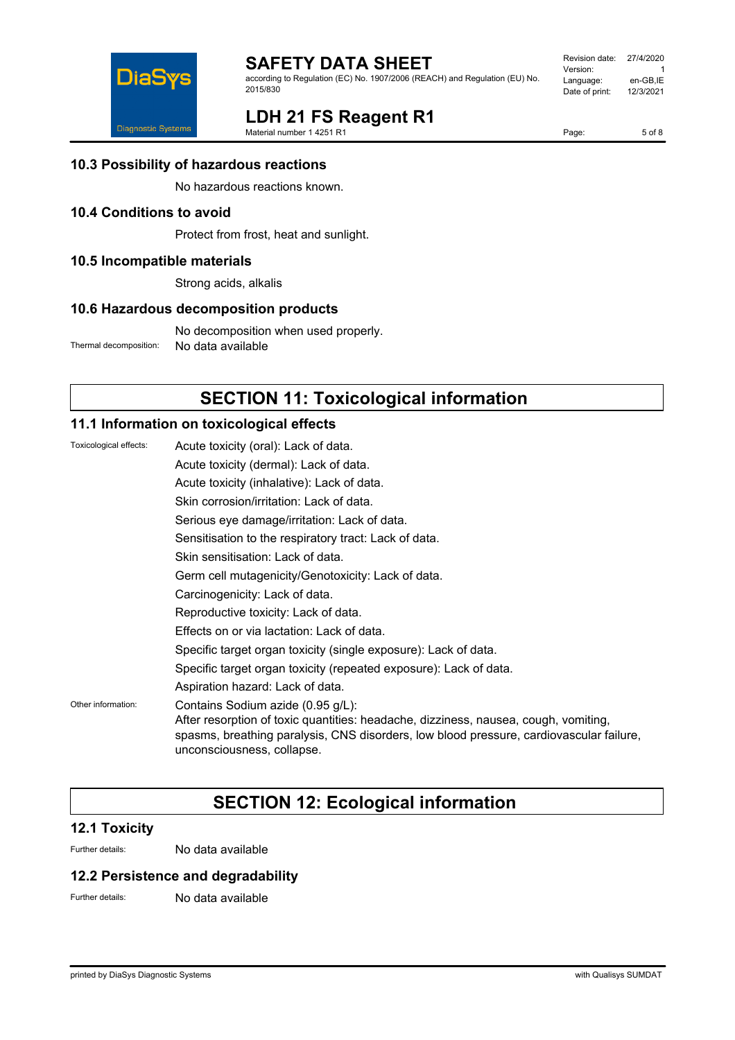

according to Regulation (EC) No. 1907/2006 (REACH) and Regulation (EU) No. 2015/830

| Revision date: | 27/4/2020 |
|----------------|-----------|
| Version:       | 1         |
| Language:      | en-GB,IE  |
| Date of print: | 12/3/2021 |
|                |           |



# **LDH 21 FS Reagent R1**

Material number 1 4251 R1

Page: 5 of 8

**10.3 Possibility of hazardous reactions**

No hazardous reactions known.

### **10.4 Conditions to avoid**

Protect from frost, heat and sunlight.

### **10.5 Incompatible materials**

Strong acids, alkalis

#### **10.6 Hazardous decomposition products**

No decomposition when used properly. Thermal decomposition: No data available

# **SECTION 11: Toxicological information**

### **11.1 Information on toxicological effects**

| Toxicological effects: | Acute toxicity (oral): Lack of data.                                                                                                                                                                                                              |
|------------------------|---------------------------------------------------------------------------------------------------------------------------------------------------------------------------------------------------------------------------------------------------|
|                        | Acute toxicity (dermal): Lack of data.                                                                                                                                                                                                            |
|                        | Acute toxicity (inhalative): Lack of data.                                                                                                                                                                                                        |
|                        | Skin corrosion/irritation: Lack of data.                                                                                                                                                                                                          |
|                        | Serious eye damage/irritation: Lack of data.                                                                                                                                                                                                      |
|                        | Sensitisation to the respiratory tract: Lack of data.                                                                                                                                                                                             |
|                        | Skin sensitisation: Lack of data.                                                                                                                                                                                                                 |
|                        | Germ cell mutagenicity/Genotoxicity: Lack of data.                                                                                                                                                                                                |
|                        | Carcinogenicity: Lack of data.                                                                                                                                                                                                                    |
|                        | Reproductive toxicity: Lack of data.                                                                                                                                                                                                              |
|                        | Effects on or via lactation: Lack of data.                                                                                                                                                                                                        |
|                        | Specific target organ toxicity (single exposure): Lack of data.                                                                                                                                                                                   |
|                        | Specific target organ toxicity (repeated exposure): Lack of data.                                                                                                                                                                                 |
|                        | Aspiration hazard: Lack of data.                                                                                                                                                                                                                  |
| Other information:     | Contains Sodium azide (0.95 g/L):<br>After resorption of toxic quantities: headache, dizziness, nausea, cough, vomiting,<br>spasms, breathing paralysis, CNS disorders, low blood pressure, cardiovascular failure,<br>unconsciousness, collapse. |

# **SECTION 12: Ecological information**

### **12.1 Toxicity**

Further details: No data available

#### **12.2 Persistence and degradability**

Further details: No data available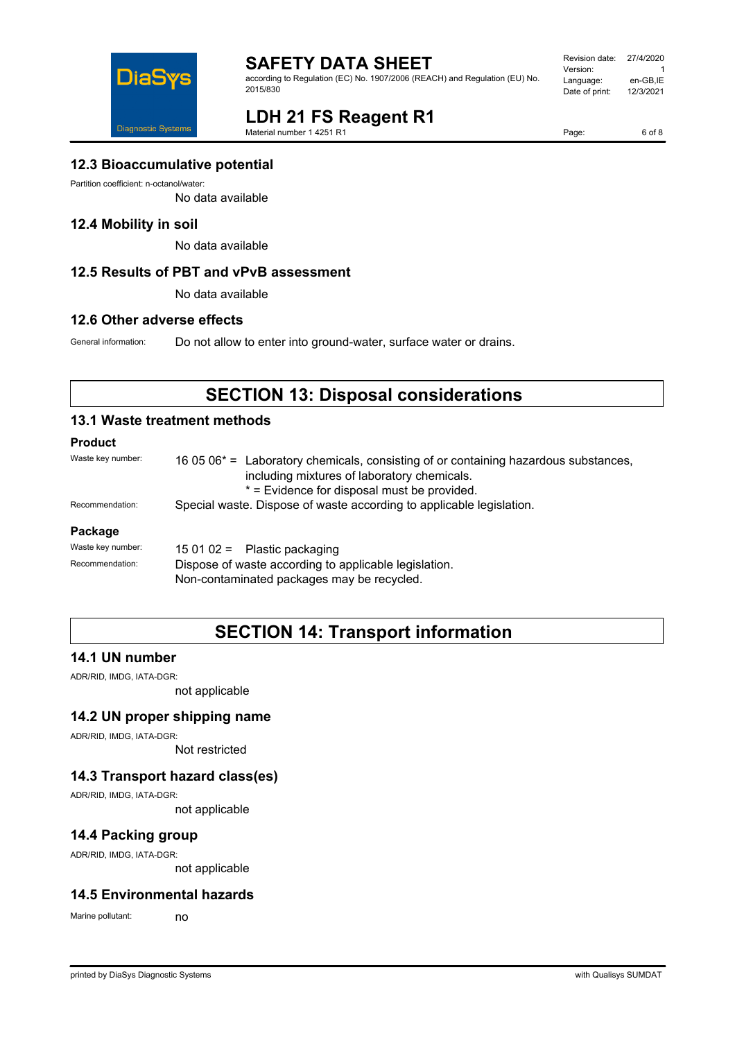

according to Regulation (EC) No. 1907/2006 (REACH) and Regulation (EU) No. 2015/830

Revision date: 27/4/2020 Version: 1<br>Language: en-GB,IE Language: en-GB,IE<br>Date of print: 12/3/2021 Date of print:



# **LDH 21 FS Reagent R1**

Material number 1 4251 R1

Page: 6 of 8

### **12.3 Bioaccumulative potential**

Partition coefficient: n-octanol/water:

No data available

#### **12.4 Mobility in soil**

No data available

#### **12.5 Results of PBT and vPvB assessment**

No data available

#### **12.6 Other adverse effects**

General information: Do not allow to enter into ground-water, surface water or drains.

# **SECTION 13: Disposal considerations**

#### **13.1 Waste treatment methods**

#### **Product**

| Waste key number: | 16 05 06 <sup>*</sup> = Laboratory chemicals, consisting of or containing hazardous substances,<br>including mixtures of laboratory chemicals.<br>* = Evidence for disposal must be provided. |  |
|-------------------|-----------------------------------------------------------------------------------------------------------------------------------------------------------------------------------------------|--|
| Recommendation:   | Special waste. Dispose of waste according to applicable legislation.                                                                                                                          |  |
| Package           |                                                                                                                                                                                               |  |
| Waste key number: | $150102 =$ Plastic packaging                                                                                                                                                                  |  |
| Recommendation:   | Dispose of waste according to applicable legislation.                                                                                                                                         |  |

Non-contaminated packages may be recycled.

# **SECTION 14: Transport information**

### **14.1 UN number**

ADR/RID, IMDG, IATA-DGR:

not applicable

#### **14.2 UN proper shipping name**

ADR/RID, IMDG, IATA-DGR:

Not restricted

## **14.3 Transport hazard class(es)**

ADR/RID, IMDG, IATA-DGR:

not applicable

### **14.4 Packing group**

ADR/RID, IMDG, IATA-DGR:

not applicable

### **14.5 Environmental hazards**

Marine pollutant: no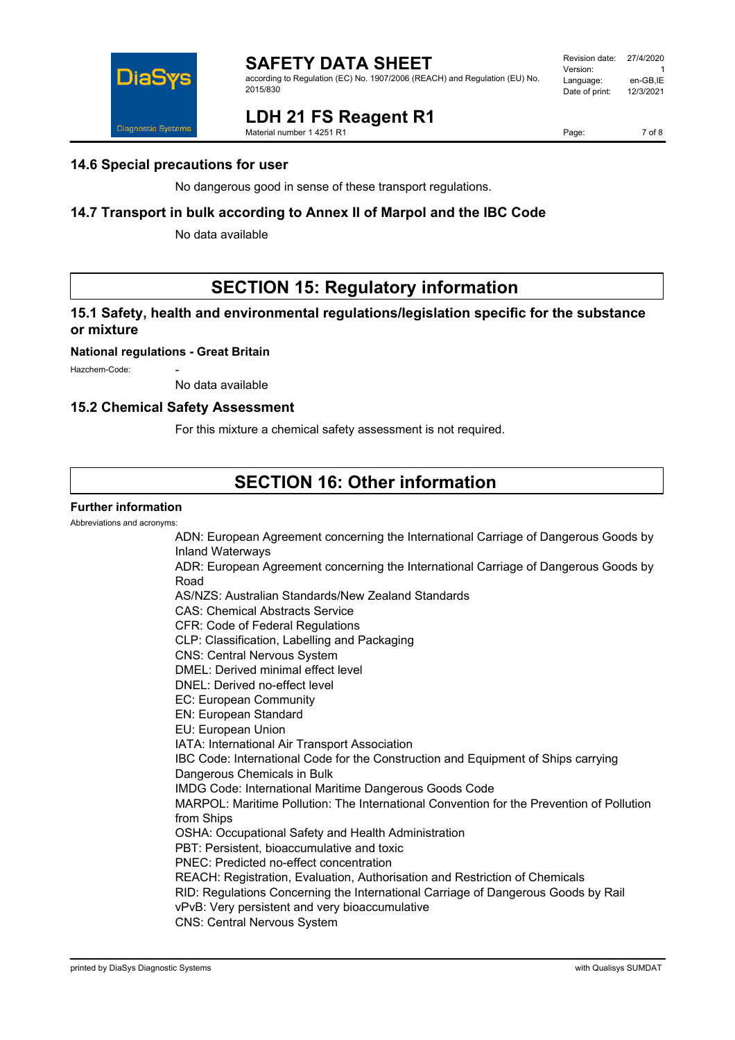

according to Regulation (EC) No. 1907/2006 (REACH) and Regulation (EU) No. 2015/830

#### Revision date: 27/4/2020 Version: 1<br>العربية العربية العربية العربية<br>Language: 1 en-GB IE Language: en-GB,IE<br>Date of print: 12/3/2021 Date of print:



# **LDH 21 FS Reagent R1**

Material number 1 4251 R1

Page: 7 of 8

### **14.6 Special precautions for user**

No dangerous good in sense of these transport regulations.

### **14.7 Transport in bulk according to Annex II of Marpol and the IBC Code**

No data available

# **SECTION 15: Regulatory information**

## **15.1 Safety, health and environmental regulations/legislation specific for the substance or mixture**

#### **National regulations - Great Britain**

Hazchem-Code:

No data available

#### **15.2 Chemical Safety Assessment**

For this mixture a chemical safety assessment is not required.

# **SECTION 16: Other information**

#### **Further information**

Abbreviations and acronyms:

ADN: European Agreement concerning the International Carriage of Dangerous Goods by Inland Waterways ADR: European Agreement concerning the International Carriage of Dangerous Goods by Road AS/NZS: Australian Standards/New Zealand Standards CAS: Chemical Abstracts Service CFR: Code of Federal Regulations CLP: Classification, Labelling and Packaging CNS: Central Nervous System DMEL: Derived minimal effect level DNEL: Derived no-effect level EC: European Community EN: European Standard EU: European Union IATA: International Air Transport Association IBC Code: International Code for the Construction and Equipment of Ships carrying Dangerous Chemicals in Bulk IMDG Code: International Maritime Dangerous Goods Code MARPOL: Maritime Pollution: The International Convention for the Prevention of Pollution from Ships OSHA: Occupational Safety and Health Administration PBT: Persistent, bioaccumulative and toxic PNEC: Predicted no-effect concentration REACH: Registration, Evaluation, Authorisation and Restriction of Chemicals RID: Regulations Concerning the International Carriage of Dangerous Goods by Rail vPvB: Very persistent and very bioaccumulative CNS: Central Nervous System